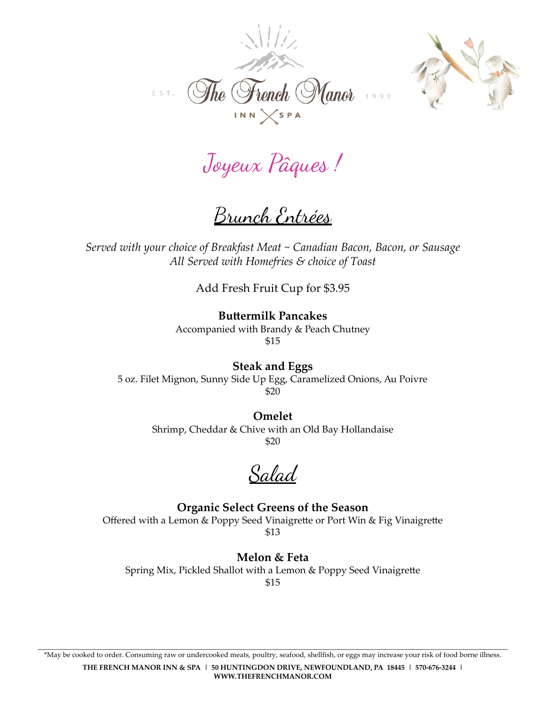



Joyeux Pâques !

Brunch Entrées

*Served with your choice of Breakfast Meat ~ Canadian Bacon, Bacon, or Sausage All Served with Homefries & choice of Toast*

Add Fresh Fruit Cup for \$3.95

**Buttermilk Pancakes** Accompanied with Brandy & Peach Chutney \$15

**Steak and Eggs** 5 oz. Filet Mignon, Sunny Side Up Egg, Caramelized Onions, Au Poivre \$20

> **Omelet** Shrimp, Cheddar & Chive with an Old Bay Hollandaise \$20

Salad

**Organic Select Greens of the Season** Offered with a Lemon & Poppy Seed Vinaigrette or Port Win & Fig Vinaigrette \$13

**Melon & Feta** Spring Mix, Pickled Shallot with a Lemon & Poppy Seed Vinaigrette \$15

\*May be cooked to order. Consuming raw or undercooked meats, poultry, seafood, shellfish, or eggs may increase your risk of food borne illness. **THE FRENCH MANOR INN & SPA | 50 HUNTINGDON DRIVE, NEWFOUNDLAND, PA 18445 | 570-676-3244 | WWW.THEFRENCHMANOR.COM**

\_\_\_\_\_\_\_\_\_\_\_\_\_\_\_\_\_\_\_\_\_\_\_\_\_\_\_\_\_\_\_\_\_\_\_\_\_\_\_\_\_\_\_\_\_\_\_\_\_\_\_\_\_\_\_\_\_\_\_\_\_\_\_\_\_\_\_\_\_\_\_\_\_\_\_\_\_\_\_\_\_\_\_\_\_\_\_\_\_\_\_\_\_\_\_\_\_\_\_\_\_\_\_\_\_\_\_\_\_\_\_\_\_\_\_\_\_\_\_\_\_\_\_\_\_\_\_\_\_\_\_\_